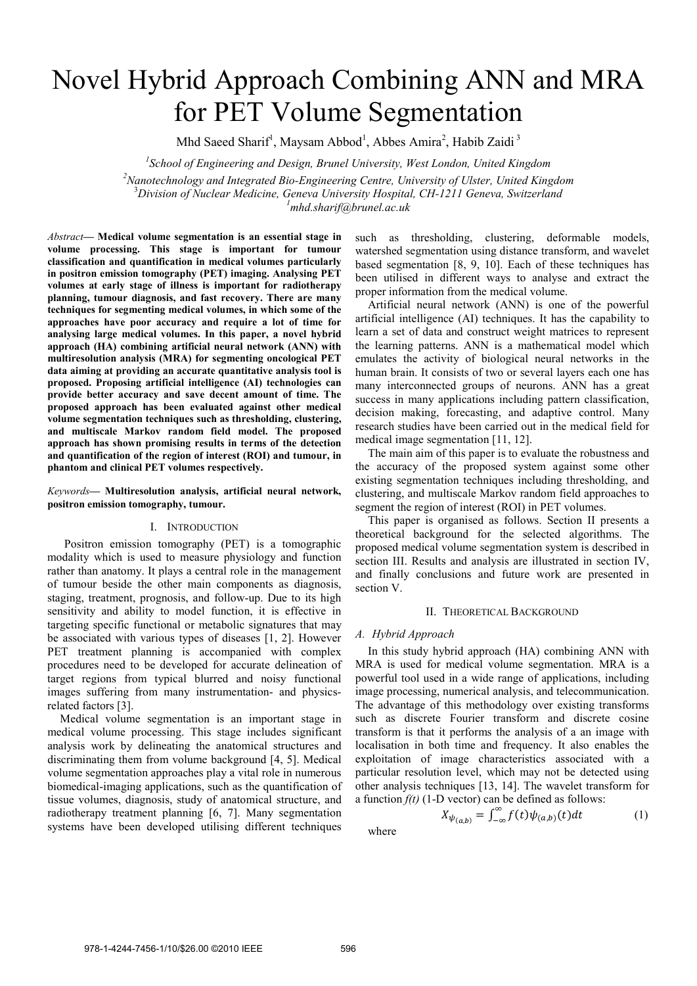# Novel Hybrid Approach Combining ANN and MRA for PET Volume Segmentation

Mhd Saeed Sharif<sup>1</sup>, Maysam Abbod<sup>1</sup>, Abbes Amira<sup>2</sup>, Habib Zaidi<sup>3</sup>

<sup>1</sup> School of Engineering and Design, Brunel University, West London, United Kingdom *2 Nanotechnology and Integrated Bio-Engineering Centre, University of Ulster, United Kingdom* 3 *Division of Nuclear Medicine, Geneva University Hospital, CH-1211 Geneva, Switzerland <sup>1</sup>*

*mhd.sharif@brunel.ac.uk* 

*Abstract***— Medical volume segmentation is an essential stage in volume processing. This stage is important for tumour classification and quantification in medical volumes particularly in positron emission tomography (PET) imaging. Analysing PET volumes at early stage of illness is important for radiotherapy planning, tumour diagnosis, and fast recovery. There are many techniques for segmenting medical volumes, in which some of the approaches have poor accuracy and require a lot of time for analysing large medical volumes. In this paper, a novel hybrid approach (HA) combining artificial neural network (ANN) with multiresolution analysis (MRA) for segmenting oncological PET data aiming at providing an accurate quantitative analysis tool is proposed. Proposing artificial intelligence (AI) technologies can provide better accuracy and save decent amount of time. The proposed approach has been evaluated against other medical volume segmentation techniques such as thresholding, clustering, and multiscale Markov random field model. The proposed approach has shown promising results in terms of the detection and quantification of the region of interest (ROI) and tumour, in phantom and clinical PET volumes respectively.** 

*Keywords***— Multiresolution analysis, artificial neural network, positron emission tomography, tumour.** 

## I. INTRODUCTION

Positron emission tomography (PET) is a tomographic modality which is used to measure physiology and function rather than anatomy. It plays a central role in the management of tumour beside the other main components as diagnosis, staging, treatment, prognosis, and follow-up. Due to its high sensitivity and ability to model function, it is effective in targeting specific functional or metabolic signatures that may be associated with various types of diseases [1, 2]. However PET treatment planning is accompanied with complex procedures need to be developed for accurate delineation of target regions from typical blurred and noisy functional images suffering from many instrumentation- and physicsrelated factors [3].

Medical volume segmentation is an important stage in medical volume processing. This stage includes significant analysis work by delineating the anatomical structures and discriminating them from volume background [4, 5]. Medical volume segmentation approaches play a vital role in numerous biomedical-imaging applications, such as the quantification of tissue volumes, diagnosis, study of anatomical structure, and radiotherapy treatment planning [6, 7]. Many segmentation systems have been developed utilising different techniques such as thresholding, clustering, deformable models, watershed segmentation using distance transform, and wavelet based segmentation [8, 9, 10]. Each of these techniques has been utilised in different ways to analyse and extract the proper information from the medical volume.

Artificial neural network (ANN) is one of the powerful artificial intelligence (AI) techniques. It has the capability to learn a set of data and construct weight matrices to represent the learning patterns. ANN is a mathematical model which emulates the activity of biological neural networks in the human brain. It consists of two or several layers each one has many interconnected groups of neurons. ANN has a great success in many applications including pattern classification, decision making, forecasting, and adaptive control. Many research studies have been carried out in the medical field for medical image segmentation [11, 12].

The main aim of this paper is to evaluate the robustness and the accuracy of the proposed system against some other existing segmentation techniques including thresholding, and clustering, and multiscale Markov random field approaches to segment the region of interest (ROI) in PET volumes.

This paper is organised as follows. Section II presents a theoretical background for the selected algorithms. The proposed medical volume segmentation system is described in section III. Results and analysis are illustrated in section IV, and finally conclusions and future work are presented in section V.

## II. THEORETICAL BACKGROUND

## *A. Hybrid Approach*

In this study hybrid approach (HA) combining ANN with MRA is used for medical volume segmentation. MRA is a powerful tool used in a wide range of applications, including image processing, numerical analysis, and telecommunication. The advantage of this methodology over existing transforms such as discrete Fourier transform and discrete cosine transform is that it performs the analysis of a an image with localisation in both time and frequency. It also enables the exploitation of image characteristics associated with a particular resolution level, which may not be detected using other analysis techniques [13, 14]. The wavelet transform for a function  $f(t)$  (1-D vector) can be defined as follows:

$$
X_{\psi_{(a,b)}} = \int_{-\infty}^{\infty} f(t)\psi_{(a,b)}(t)dt \tag{1}
$$

where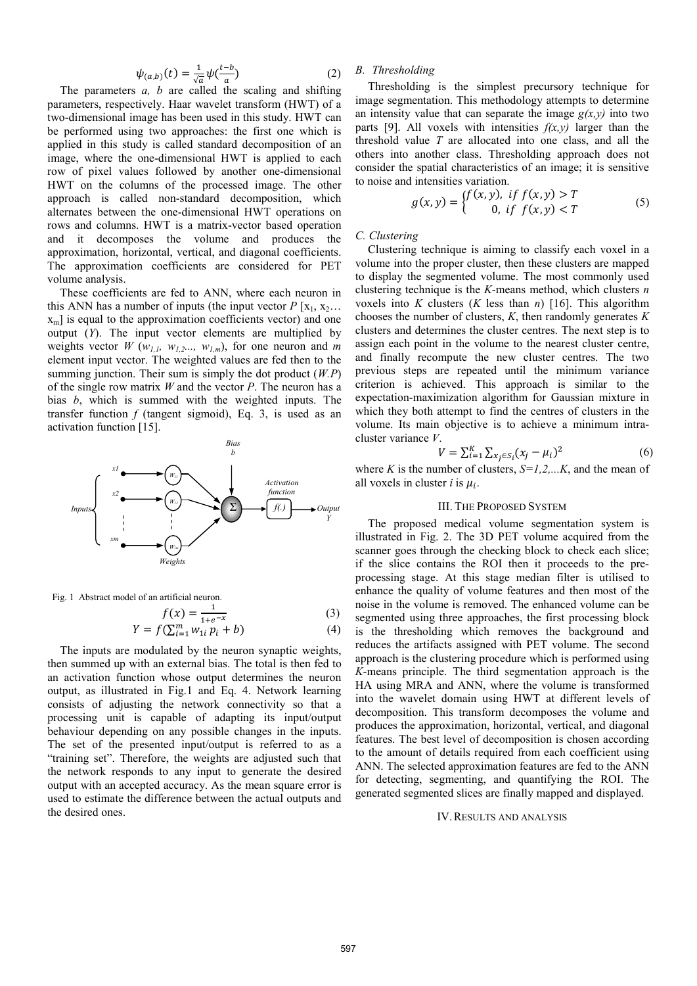$$
\psi_{(a,b)}(t) = \frac{1}{\sqrt{a}} \psi(\frac{t-b}{a}) \tag{2}
$$

The parameters *a, b* are called the scaling and shifting parameters, respectively. Haar wavelet transform (HWT) of a two-dimensional image has been used in this study. HWT can be performed using two approaches: the first one which is applied in this study is called standard decomposition of an image, where the one-dimensional HWT is applied to each row of pixel values followed by another one-dimensional HWT on the columns of the processed image. The other approach is called non-standard decomposition, which alternates between the one-dimensional HWT operations on rows and columns. HWT is a matrix-vector based operation and it decomposes the volume and produces the approximation, horizontal, vertical, and diagonal coefficients. The approximation coefficients are considered for PET volume analysis.

These coefficients are fed to ANN, where each neuron in this ANN has a number of inputs (the input vector  $P[x_1, x_2, \ldots]$  $x<sub>m</sub>$ ] is equal to the approximation coefficients vector) and one output (*Y*). The input vector elements are multiplied by weights vector  $W(w_{1,l}, w_{1,2}..., w_{l,m})$ , for one neuron and *m* element input vector. The weighted values are fed then to the summing junction. Their sum is simply the dot product (*W.P*) of the single row matrix *W* and the vector *P*. The neuron has a bias *b*, which is summed with the weighted inputs. The transfer function *f* (tangent sigmoid), Eq. 3, is used as an activation function [15].



Fig. 1 Abstract model of an artificial neuron.

$$
f(x) = \frac{1}{1 + e^{-x}}
$$
(3)  
 
$$
Y = f(\sum_{i=1}^{m} w_{1i} p_i + b)
$$
(4)

The inputs are modulated by the neuron synaptic weights, then summed up with an external bias. The total is then fed to an activation function whose output determines the neuron output, as illustrated in Fig.1 and Eq. 4. Network learning consists of adjusting the network connectivity so that a processing unit is capable of adapting its input/output behaviour depending on any possible changes in the inputs. The set of the presented input/output is referred to as a "training set". Therefore, the weights are adjusted such that the network responds to any input to generate the desired output with an accepted accuracy. As the mean square error is used to estimate the difference between the actual outputs and the desired ones.

# *B. Thresholding*

Thresholding is the simplest precursory technique for image segmentation. This methodology attempts to determine an intensity value that can separate the image  $g(x, y)$  into two parts [9]. All voxels with intensities  $f(x, y)$  larger than the threshold value *T* are allocated into one class, and all the others into another class. Thresholding approach does not consider the spatial characteristics of an image; it is sensitive to noise and intensities variation.

$$
g(x, y) = \begin{cases} f(x, y), & \text{if } f(x, y) > T \\ 0, & \text{if } f(x, y) < T \end{cases}
$$
 (5)

## *C. Clustering*

Clustering technique is aiming to classify each voxel in a volume into the proper cluster, then these clusters are mapped to display the segmented volume. The most commonly used clustering technique is the *K*-means method, which clusters *n* voxels into *K* clusters  $(K \text{ less than } n)$  [16]. This algorithm chooses the number of clusters, *K*, then randomly generates *K* clusters and determines the cluster centres. The next step is to assign each point in the volume to the nearest cluster centre, and finally recompute the new cluster centres. The two previous steps are repeated until the minimum variance criterion is achieved. This approach is similar to the expectation-maximization algorithm for Gaussian mixture in which they both attempt to find the centres of clusters in the volume. Its main objective is to achieve a minimum intracluster variance *V*.

$$
V = \sum_{i=1}^{K} \sum_{x_j \in S_i} (x_j - \mu_i)^2
$$
 (6)

where *K* is the number of clusters,  $S=1,2,...K$ , and the mean of all voxels in cluster *i* is  $\mu_i$ .

# III. THE PROPOSED SYSTEM

The proposed medical volume segmentation system is illustrated in Fig. 2. The 3D PET volume acquired from the scanner goes through the checking block to check each slice; if the slice contains the ROI then it proceeds to the preprocessing stage. At this stage median filter is utilised to enhance the quality of volume features and then most of the noise in the volume is removed. The enhanced volume can be segmented using three approaches, the first processing block is the thresholding which removes the background and reduces the artifacts assigned with PET volume. The second approach is the clustering procedure which is performed using *K*-means principle. The third segmentation approach is the HA using MRA and ANN, where the volume is transformed into the wavelet domain using HWT at different levels of decomposition. This transform decomposes the volume and produces the approximation, horizontal, vertical, and diagonal features. The best level of decomposition is chosen according to the amount of details required from each coefficient using ANN. The selected approximation features are fed to the ANN for detecting, segmenting, and quantifying the ROI. The generated segmented slices are finally mapped and displayed.

#### IV.RESULTS AND ANALYSIS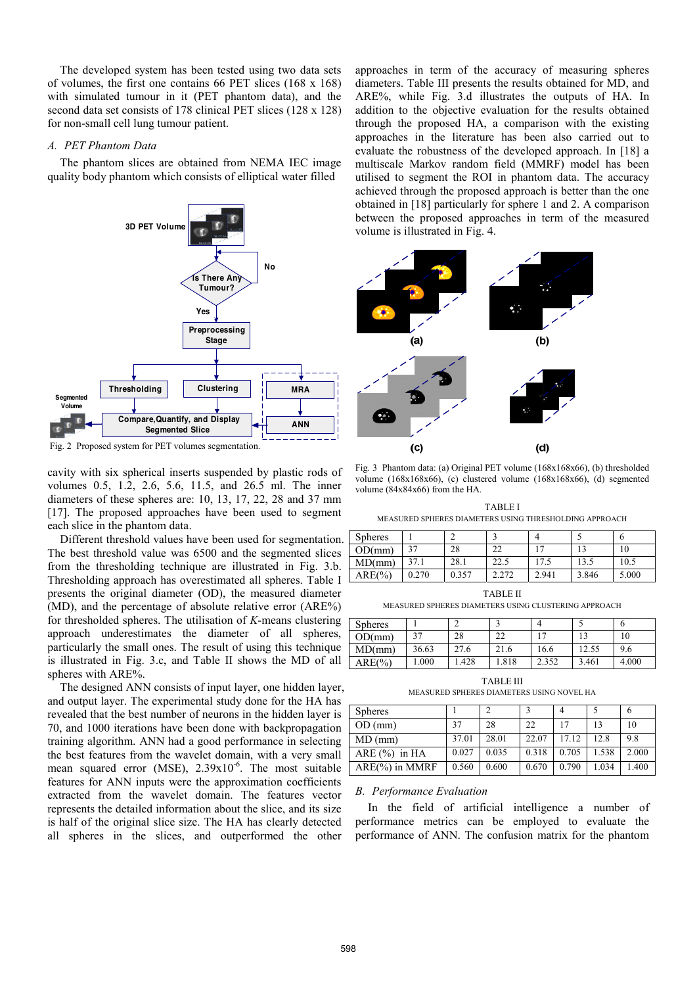The developed system has been tested using two data sets of volumes, the first one contains 66 PET slices (168 x 168) with simulated tumour in it (PET phantom data), and the second data set consists of 178 clinical PET slices (128 x 128) for non-small cell lung tumour patient.

## *A. PET Phantom Data*

The phantom slices are obtained from NEMA IEC image quality body phantom which consists of elliptical water filled



Fig. 2 Proposed system for PET volumes segmentation.

cavity with six spherical inserts suspended by plastic rods of volumes 0.5, 1.2, 2.6, 5.6, 11.5, and 26.5 ml. The inner diameters of these spheres are: 10, 13, 17, 22, 28 and 37 mm [17]. The proposed approaches have been used to segment each slice in the phantom data.

Different threshold values have been used for segmentation. The best threshold value was 6500 and the segmented slices from the thresholding technique are illustrated in Fig. 3.b. Thresholding approach has overestimated all spheres. Table I presents the original diameter (OD), the measured diameter (MD), and the percentage of absolute relative error (ARE%) for thresholded spheres. The utilisation of *K*-means clustering approach underestimates the diameter of all spheres, particularly the small ones. The result of using this technique is illustrated in Fig. 3.c, and Table II shows the MD of all spheres with ARE%.

The designed ANN consists of input layer, one hidden layer, and output layer. The experimental study done for the HA has revealed that the best number of neurons in the hidden layer is 70, and 1000 iterations have been done with backpropagation training algorithm. ANN had a good performance in selecting the best features from the wavelet domain, with a very small mean squared error (MSE),  $2.39x10^{-6}$ . The most suitable features for ANN inputs were the approximation coefficients extracted from the wavelet domain. The features vector represents the detailed information about the slice, and its size is half of the original slice size. The HA has clearly detected all spheres in the slices, and outperformed the other

approaches in term of the accuracy of measuring spheres diameters. Table III presents the results obtained for MD, and ARE%, while Fig. 3.d illustrates the outputs of HA. In addition to the objective evaluation for the results obtained through the proposed HA, a comparison with the existing approaches in the literature has been also carried out to evaluate the robustness of the developed approach. In [18] a multiscale Markov random field (MMRF) model has been utilised to segment the ROI in phantom data. The accuracy achieved through the proposed approach is better than the one obtained in [18] particularly for sphere 1 and 2. A comparison between the proposed approaches in term of the measured volume is illustrated in Fig. 4.



Fig. 3 Phantom data: (a) Original PET volume (168x168x66), (b) thresholded volume (168x168x66), (c) clustered volume (168x168x66), (d) segmented volume (84x84x66) from the HA.

TABLE I MEASURED SPHERES DIAMETERS USING THRESHOLDING APPROACH

| <b>Spheres</b> |       |       |           |       |       |       |
|----------------|-------|-------|-----------|-------|-------|-------|
| OD/mm          | 27    | 28    | າາ<br>-44 |       |       |       |
| MD(mm)         | 37.1  | 28.1  | 22.5      | 17.5  | 13.5  | 10.5  |
| $ARE(\%)$      | 0.270 | 0.357 | 2.272     | 2.941 | 3.846 | 5.000 |

TABLE II

MEASURED SPHERES DIAMETERS USING CLUSTERING APPROACH

| <b>Spheres</b> |       | r    |          | $\overline{\phantom{a}}$ |       |       |
|----------------|-------|------|----------|--------------------------|-------|-------|
| OD/mm          |       | 28   | ົາ<br>-- |                          |       | ΙU    |
| MD(mm)         | 36.63 | 27.6 | 21.6     | 16.6                     | 2.55  | 9.6   |
| ARE(%)         | 000.  | .428 | .818     | 2.352                    | 3.461 | 4.000 |

TABLE III MEASURED SPHERES DIAMETERS USING NOVEL HA

| <b>Spheres</b>    |       |       |       | 4     |       | 6     |
|-------------------|-------|-------|-------|-------|-------|-------|
| OD (mm)           | 37    | 28    | 22    | 17    | 13    | 10    |
| $MD$ (mm)         | 37.01 | 28.01 | 22.07 | 17.12 | 12.8  | 9.8   |
| ARE $(\% )$ in HA | 0.027 | 0.035 | 0.318 | 0.705 | 1.538 | 2.000 |
| $ARE(\%)$ in MMRF | 0.560 | 0.600 | 0.670 | 0.790 | 1.034 | 1.400 |

### *B. Performance Evaluation*

In the field of artificial intelligence a number of performance metrics can be employed to evaluate the performance of ANN. The confusion matrix for the phantom